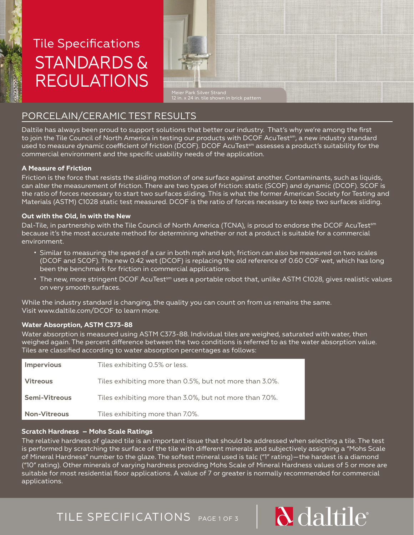

# Tile Specifications STANDARDS & REGULATIONS



12 in. x 24 in. tile shown in brick pattern

# PORCELAIN/CERAMIC TEST RESULTS

Daltile has always been proud to support solutions that better our industry. That's why we're among the first to join the Tile Council of North America in testing our products with DCOF AcuTest $^{\rm sm}$ , a new industry standard used to measure dynamic coefficient of friction (DCOF). DCOF AcuTest<sup>sm</sup> assesses a product's suitability for the commercial environment and the specific usability needs of the application.

#### **A Measure of Friction**

Friction is the force that resists the sliding motion of one surface against another. Contaminants, such as liquids, can alter the measurement of friction. There are two types of friction: static (SCOF) and dynamic (DCOF). SCOF is the ratio of forces necessary to start two surfaces sliding. This is what the former American Society for Testing and Materials (ASTM) C1028 static test measured. DCOF is the ratio of forces necessary to keep two surfaces sliding.

#### **Out with the Old, In with the New**

Dal-Tile, in partnership with the Tile Council of North America (TCNA), is proud to endorse the DCOF AcuTest<sup>sm</sup> because it's the most accurate method for determining whether or not a product is suitable for a commercial environment.

- Similar to measuring the speed of a car in both mph and kph, friction can also be measured on two scales (DCOF and SCOF). The new 0.42 wet (DCOF) is replacing the old reference of 0.60 COF wet, which has long been the benchmark for friction in commercial applications.
- The new, more stringent DCOF AcuTest<sup>sm</sup> uses a portable robot that, unlike ASTM C1028, gives realistic values on very smooth surfaces.

While the industry standard is changing, the quality you can count on from us remains the same. Visit www.daltile.com/DCOF to learn more.

#### **Water Absorption, ASTM C373-88**

Water absorption is measured using ASTM C373-88. Individual tiles are weighed, saturated with water, then weighed again. The percent difference between the two conditions is referred to as the water absorption value. Tiles are classified according to water absorption percentages as follows:

| <b>Impervious</b>    | Tiles exhibiting 0.5% or less.                           |
|----------------------|----------------------------------------------------------|
| <b>Vitreous</b>      | Tiles exhibiting more than 0.5%, but not more than 3.0%. |
| <b>Semi-Vitreous</b> | Tiles exhibiting more than 3.0%, but not more than 7.0%. |
| <b>Non-Vitreous</b>  | Tiles exhibiting more than 7.0%.                         |

#### **Scratch Hardness – Mohs Scale Ratings**

The relative hardness of glazed tile is an important issue that should be addressed when selecting a tile. The test is performed by scratching the surface of the tile with different minerals and subjectively assigning a "Mohs Scale of Mineral Hardness" number to the glaze. The softest mineral used is talc ("1" rating)—the hardest is a diamond ("10" rating). Other minerals of varying hardness providing Mohs Scale of Mineral Hardness values of 5 or more are suitable for most residential floor applications. A value of 7 or greater is normally recommended for commercial applications.

**d** daltile

# TILE SPECIFICATIONS PAGE 1 OF 3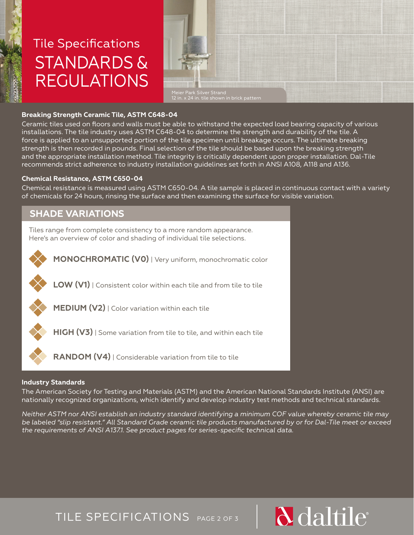

# Tile Specifications STANDARDS & REGULATIONS



#### **Breaking Strength Ceramic Tile, ASTM C648-04**

Ceramic tiles used on floors and walls must be able to withstand the expected load bearing capacity of various installations. The tile industry uses ASTM C648-04 to determine the strength and durability of the tile. A force is applied to an unsupported portion of the tile specimen until breakage occurs. The ultimate breaking strength is then recorded in pounds. Final selection of the tile should be based upon the breaking strength and the appropriate installation method. Tile integrity is critically dependent upon proper installation. Dal-Tile recommends strict adherence to industry installation guidelines set forth in ANSI A108, A118 and A136.

#### **Chemical Resistance, ASTM C650-04**

Chemical resistance is measured using ASTM C650-04. A tile sample is placed in continuous contact with a variety of chemicals for 24 hours, rinsing the surface and then examining the surface for visible variation.

# **SHADE VARIATIONS**

Tiles range from complete consistency to a more random appearance. Here's an overview of color and shading of individual tile selections.



**LOW (V1)** | Consistent color within each tile and from tile to tile



**MEDIUM (V2)** | Color variation within each tile

**HIGH (V3)** | Some variation from tile to tile, and within each tile

**RANDOM (V4)** | Considerable variation from tile to tile

#### **Industry Standards**

The American Society for Testing and Materials (ASTM) and the American National Standards Institute (ANSI) are nationally recognized organizations, which identify and develop industry test methods and technical standards.

*Neither ASTM nor ANSI establish an industry standard identifying a minimum COF value whereby ceramic tile may be labeled "slip resistant." All Standard Grade ceramic tile products manufactured by or for Dal-Tile meet or exceed the requirements of ANSI A137.1. See product pages for series-specific technical data.* 

**d** daltile

TILE SPECIFICATIONS PAGE 2 OF 3